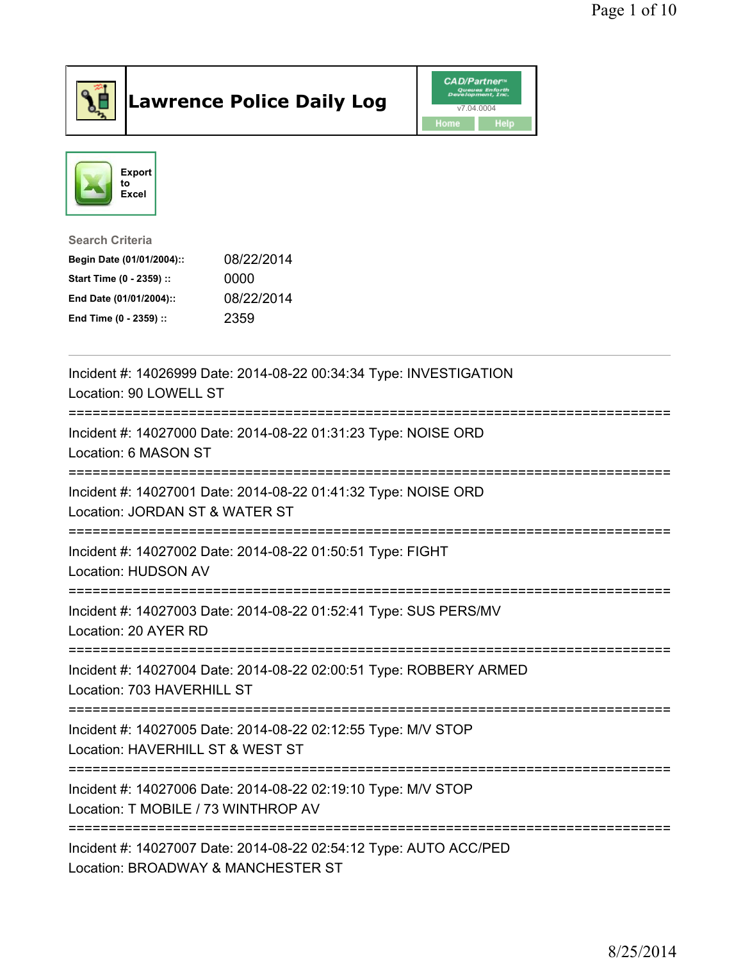

## Lawrence Police Daily Log Value of the CAD/Partner





## Search Criteria

| Begin Date (01/01/2004):: | 08/22/2014 |
|---------------------------|------------|
| Start Time (0 - 2359) ::  | 0000       |
| End Date (01/01/2004)::   | 08/22/2014 |
| End Time (0 - 2359) ::    | 2359       |

| Incident #: 14026999 Date: 2014-08-22 00:34:34 Type: INVESTIGATION<br>Location: 90 LOWELL ST                                           |
|----------------------------------------------------------------------------------------------------------------------------------------|
| Incident #: 14027000 Date: 2014-08-22 01:31:23 Type: NOISE ORD<br>Location: 6 MASON ST<br>=====================================        |
| Incident #: 14027001 Date: 2014-08-22 01:41:32 Type: NOISE ORD<br>Location: JORDAN ST & WATER ST                                       |
| Incident #: 14027002 Date: 2014-08-22 01:50:51 Type: FIGHT<br>Location: HUDSON AV                                                      |
| Incident #: 14027003 Date: 2014-08-22 01:52:41 Type: SUS PERS/MV<br>Location: 20 AYER RD                                               |
| Incident #: 14027004 Date: 2014-08-22 02:00:51 Type: ROBBERY ARMED<br>Location: 703 HAVERHILL ST<br>---------------------------------- |
| Incident #: 14027005 Date: 2014-08-22 02:12:55 Type: M/V STOP<br>Location: HAVERHILL ST & WEST ST                                      |
| Incident #: 14027006 Date: 2014-08-22 02:19:10 Type: M/V STOP<br>Location: T MOBILE / 73 WINTHROP AV                                   |
| Incident #: 14027007 Date: 2014-08-22 02:54:12 Type: AUTO ACC/PED<br>Location: BROADWAY & MANCHESTER ST                                |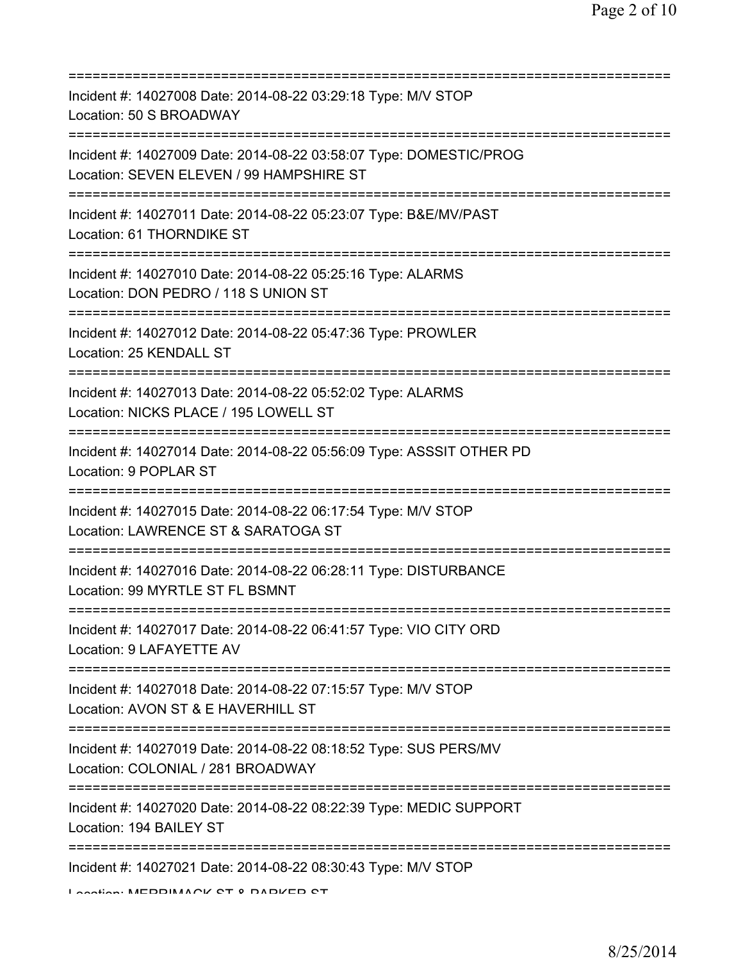| Incident #: 14027008 Date: 2014-08-22 03:29:18 Type: M/V STOP<br>Location: 50 S BROADWAY                                                         |
|--------------------------------------------------------------------------------------------------------------------------------------------------|
| Incident #: 14027009 Date: 2014-08-22 03:58:07 Type: DOMESTIC/PROG<br>Location: SEVEN ELEVEN / 99 HAMPSHIRE ST<br>:============================= |
| Incident #: 14027011 Date: 2014-08-22 05:23:07 Type: B&E/MV/PAST<br>Location: 61 THORNDIKE ST                                                    |
| Incident #: 14027010 Date: 2014-08-22 05:25:16 Type: ALARMS<br>Location: DON PEDRO / 118 S UNION ST                                              |
| ========================<br>Incident #: 14027012 Date: 2014-08-22 05:47:36 Type: PROWLER<br>Location: 25 KENDALL ST                              |
| Incident #: 14027013 Date: 2014-08-22 05:52:02 Type: ALARMS<br>Location: NICKS PLACE / 195 LOWELL ST                                             |
| Incident #: 14027014 Date: 2014-08-22 05:56:09 Type: ASSSIT OTHER PD<br>Location: 9 POPLAR ST                                                    |
| Incident #: 14027015 Date: 2014-08-22 06:17:54 Type: M/V STOP<br>Location: LAWRENCE ST & SARATOGA ST                                             |
| Incident #: 14027016 Date: 2014-08-22 06:28:11 Type: DISTURBANCE<br>Location: 99 MYRTLE ST FL BSMNT                                              |
| Incident #: 14027017 Date: 2014-08-22 06:41:57 Type: VIO CITY ORD<br>Location: 9 LAFAYETTE AV                                                    |
| Incident #: 14027018 Date: 2014-08-22 07:15:57 Type: M/V STOP<br>Location: AVON ST & E HAVERHILL ST                                              |
| Incident #: 14027019 Date: 2014-08-22 08:18:52 Type: SUS PERS/MV<br>Location: COLONIAL / 281 BROADWAY                                            |
| Incident #: 14027020 Date: 2014-08-22 08:22:39 Type: MEDIC SUPPORT<br>Location: 194 BAILEY ST                                                    |
| Incident #: 14027021 Date: 2014-08-22 08:30:43 Type: M/V STOP<br>Lootion: MEDDIMACK CT 0 DADKED CT                                               |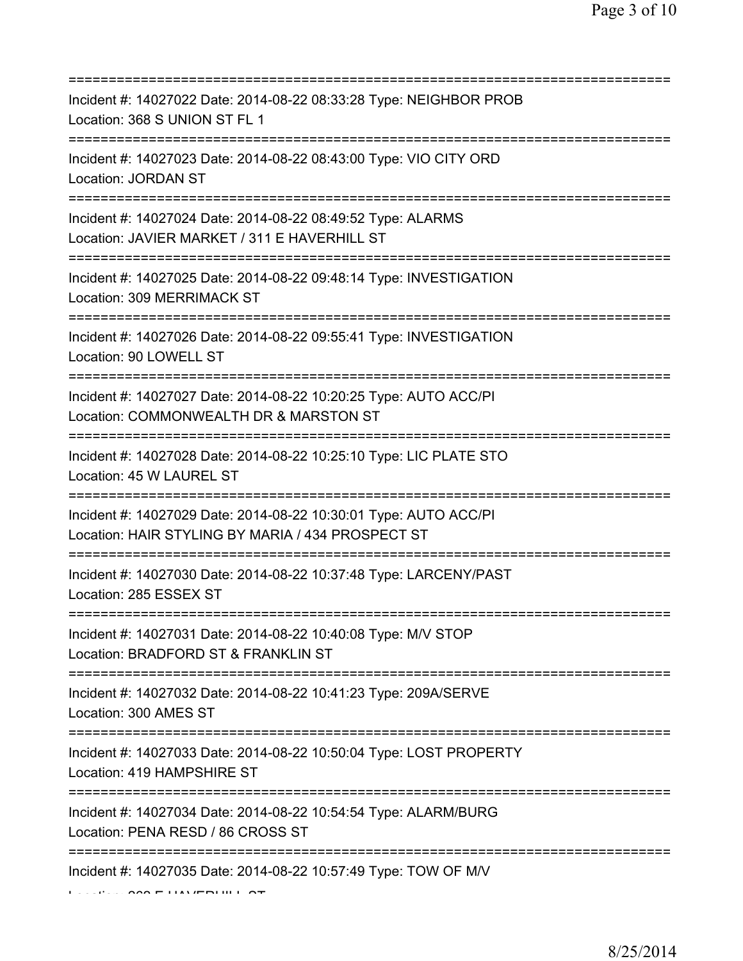| Incident #: 14027022 Date: 2014-08-22 08:33:28 Type: NEIGHBOR PROB<br>Location: 368 S UNION ST FL 1                                      |
|------------------------------------------------------------------------------------------------------------------------------------------|
| Incident #: 14027023 Date: 2014-08-22 08:43:00 Type: VIO CITY ORD<br><b>Location: JORDAN ST</b>                                          |
| Incident #: 14027024 Date: 2014-08-22 08:49:52 Type: ALARMS<br>Location: JAVIER MARKET / 311 E HAVERHILL ST                              |
| Incident #: 14027025 Date: 2014-08-22 09:48:14 Type: INVESTIGATION<br>Location: 309 MERRIMACK ST<br>==================================== |
| Incident #: 14027026 Date: 2014-08-22 09:55:41 Type: INVESTIGATION<br>Location: 90 LOWELL ST                                             |
| Incident #: 14027027 Date: 2014-08-22 10:20:25 Type: AUTO ACC/PI<br>Location: COMMONWEALTH DR & MARSTON ST                               |
| Incident #: 14027028 Date: 2014-08-22 10:25:10 Type: LIC PLATE STO<br>Location: 45 W LAUREL ST                                           |
| Incident #: 14027029 Date: 2014-08-22 10:30:01 Type: AUTO ACC/PI<br>Location: HAIR STYLING BY MARIA / 434 PROSPECT ST                    |
| Incident #: 14027030 Date: 2014-08-22 10:37:48 Type: LARCENY/PAST<br>Location: 285 ESSEX ST<br>===================================       |
| Incident #: 14027031 Date: 2014-08-22 10:40:08 Type: M/V STOP<br>Location: BRADFORD ST & FRANKLIN ST                                     |
| Incident #: 14027032 Date: 2014-08-22 10:41:23 Type: 209A/SERVE<br>Location: 300 AMES ST                                                 |
| Incident #: 14027033 Date: 2014-08-22 10:50:04 Type: LOST PROPERTY<br>Location: 419 HAMPSHIRE ST                                         |
| Incident #: 14027034 Date: 2014-08-22 10:54:54 Type: ALARM/BURG<br>Location: PENA RESD / 86 CROSS ST                                     |
| Incident #: 14027035 Date: 2014-08-22 10:57:49 Type: TOW OF M/V                                                                          |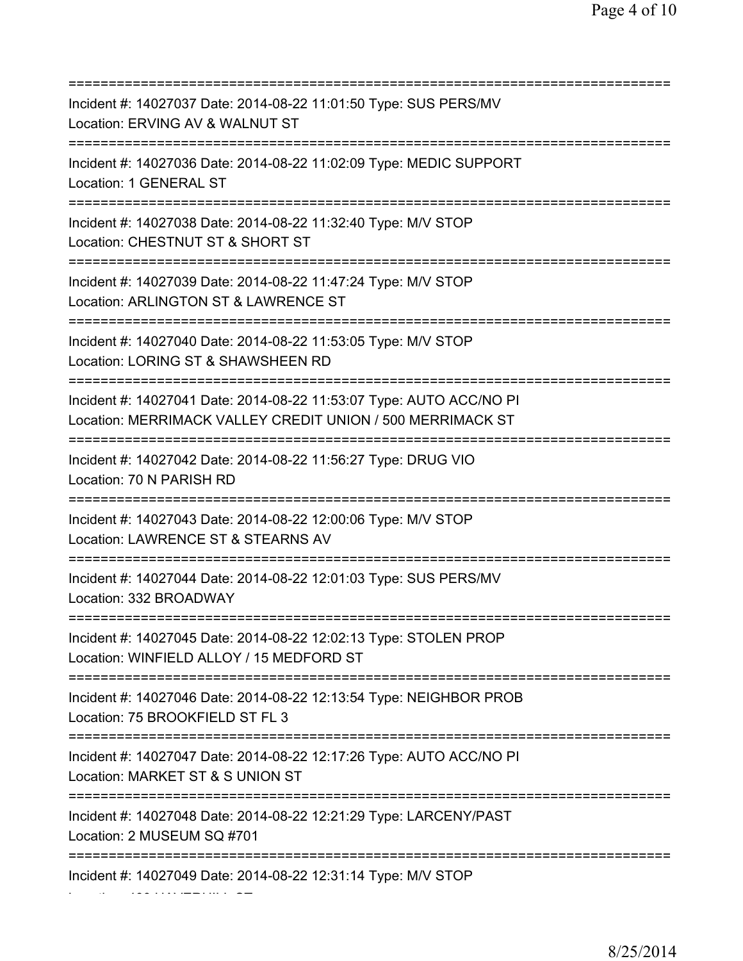=========================================================================== Incident #: 14027037 Date: 2014-08-22 11:01:50 Type: SUS PERS/MV Location: ERVING AV & WALNUT ST =========================================================================== Incident #: 14027036 Date: 2014-08-22 11:02:09 Type: MEDIC SUPPORT Location: 1 GENERAL ST =========================================================================== Incident #: 14027038 Date: 2014-08-22 11:32:40 Type: M/V STOP Location: CHESTNUT ST & SHORT ST =========================================================================== Incident #: 14027039 Date: 2014-08-22 11:47:24 Type: M/V STOP Location: ARLINGTON ST & LAWRENCE ST =========================================================================== Incident #: 14027040 Date: 2014-08-22 11:53:05 Type: M/V STOP Location: LORING ST & SHAWSHEEN RD =========================================================================== Incident #: 14027041 Date: 2014-08-22 11:53:07 Type: AUTO ACC/NO PI Location: MERRIMACK VALLEY CREDIT UNION / 500 MERRIMACK ST =========================================================================== Incident #: 14027042 Date: 2014-08-22 11:56:27 Type: DRUG VIO Location: 70 N PARISH RD =========================================================================== Incident #: 14027043 Date: 2014-08-22 12:00:06 Type: M/V STOP Location: LAWRENCE ST & STEARNS AV =========================================================================== Incident #: 14027044 Date: 2014-08-22 12:01:03 Type: SUS PERS/MV Location: 332 BROADWAY =========================================================================== Incident #: 14027045 Date: 2014-08-22 12:02:13 Type: STOLEN PROP Location: WINFIELD ALLOY / 15 MEDFORD ST =========================================================================== Incident #: 14027046 Date: 2014-08-22 12:13:54 Type: NEIGHBOR PROB Location: 75 BROOKFIELD ST FL 3 =========================================================================== Incident #: 14027047 Date: 2014-08-22 12:17:26 Type: AUTO ACC/NO PI Location: MARKET ST & S UNION ST =========================================================================== Incident #: 14027048 Date: 2014-08-22 12:21:29 Type: LARCENY/PAST Location: 2 MUSEUM SQ #701 =========================================================================== Incident #: 14027049 Date: 2014-08-22 12:31:14 Type: M/V STOP Location: 400 HAVERHILL ST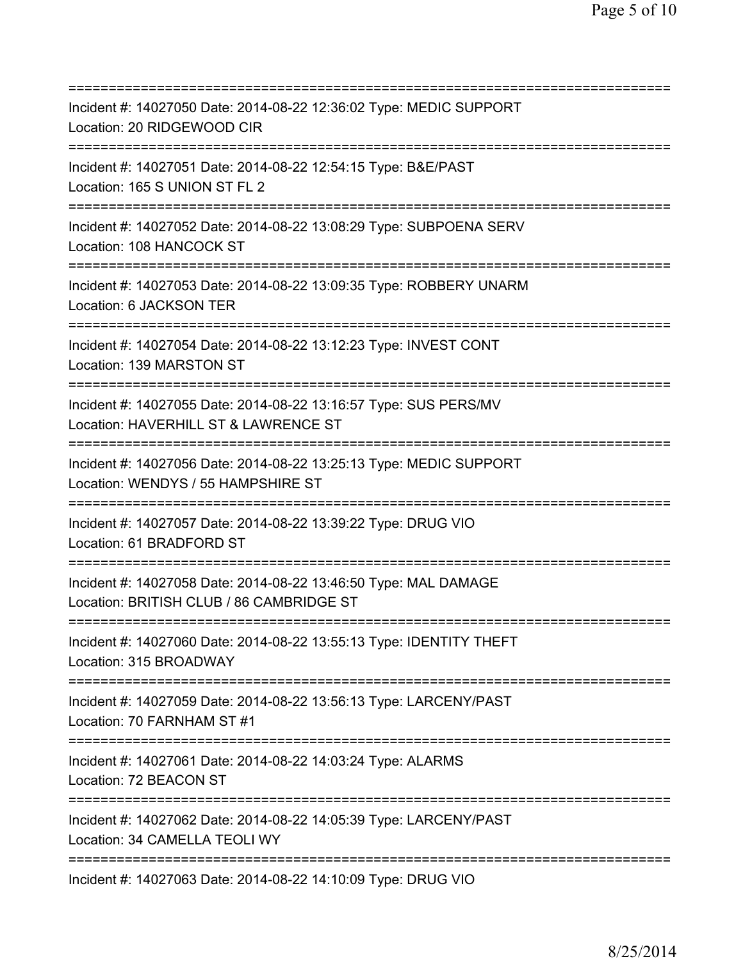=========================================================================== Incident #: 14027050 Date: 2014-08-22 12:36:02 Type: MEDIC SUPPORT Location: 20 RIDGEWOOD CIR =========================================================================== Incident #: 14027051 Date: 2014-08-22 12:54:15 Type: B&E/PAST Location: 165 S UNION ST FL 2 =========================================================================== Incident #: 14027052 Date: 2014-08-22 13:08:29 Type: SUBPOENA SERV Location: 108 HANCOCK ST =========================================================================== Incident #: 14027053 Date: 2014-08-22 13:09:35 Type: ROBBERY UNARM Location: 6 JACKSON TER =========================================================================== Incident #: 14027054 Date: 2014-08-22 13:12:23 Type: INVEST CONT Location: 139 MARSTON ST =========================================================================== Incident #: 14027055 Date: 2014-08-22 13:16:57 Type: SUS PERS/MV Location: HAVERHILL ST & LAWRENCE ST =========================================================================== Incident #: 14027056 Date: 2014-08-22 13:25:13 Type: MEDIC SUPPORT Location: WENDYS / 55 HAMPSHIRE ST =========================================================================== Incident #: 14027057 Date: 2014-08-22 13:39:22 Type: DRUG VIO Location: 61 BRADFORD ST =========================================================================== Incident #: 14027058 Date: 2014-08-22 13:46:50 Type: MAL DAMAGE Location: BRITISH CLUB / 86 CAMBRIDGE ST =========================================================================== Incident #: 14027060 Date: 2014-08-22 13:55:13 Type: IDENTITY THEFT Location: 315 BROADWAY =========================================================================== Incident #: 14027059 Date: 2014-08-22 13:56:13 Type: LARCENY/PAST Location: 70 FARNHAM ST #1 =========================================================================== Incident #: 14027061 Date: 2014-08-22 14:03:24 Type: ALARMS Location: 72 BEACON ST =========================================================================== Incident #: 14027062 Date: 2014-08-22 14:05:39 Type: LARCENY/PAST Location: 34 CAMELLA TEOLI WY =========================================================================== Incident #: 14027063 Date: 2014-08-22 14:10:09 Type: DRUG VIO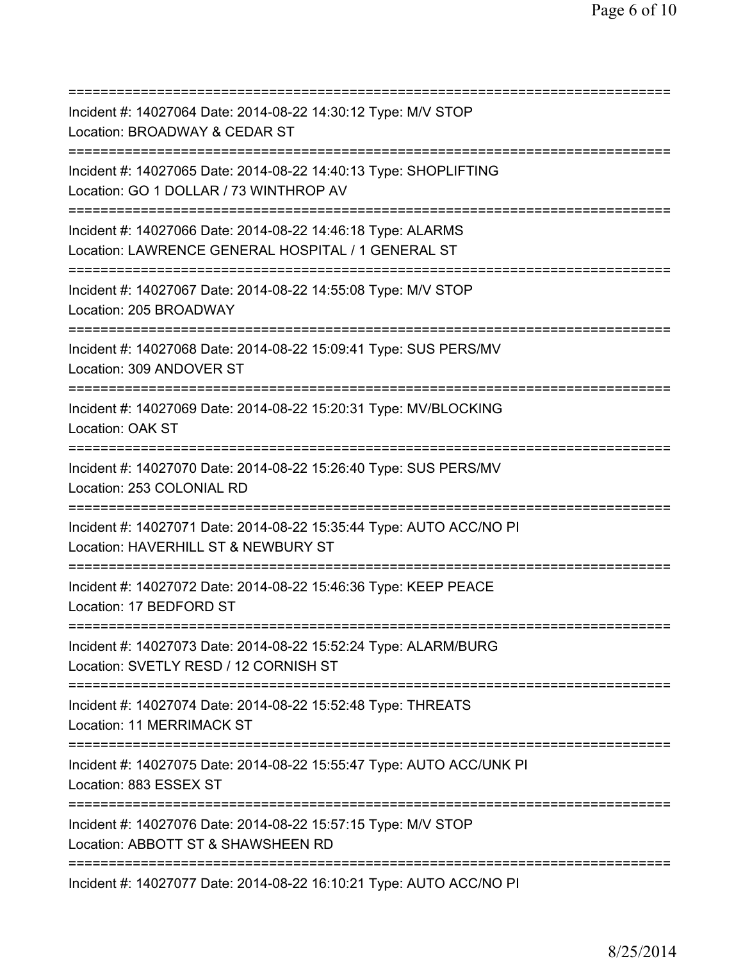| Incident #: 14027064 Date: 2014-08-22 14:30:12 Type: M/V STOP<br>Location: BROADWAY & CEDAR ST                                            |
|-------------------------------------------------------------------------------------------------------------------------------------------|
| Incident #: 14027065 Date: 2014-08-22 14:40:13 Type: SHOPLIFTING<br>Location: GO 1 DOLLAR / 73 WINTHROP AV<br>--------------------------- |
| Incident #: 14027066 Date: 2014-08-22 14:46:18 Type: ALARMS<br>Location: LAWRENCE GENERAL HOSPITAL / 1 GENERAL ST                         |
| Incident #: 14027067 Date: 2014-08-22 14:55:08 Type: M/V STOP<br>Location: 205 BROADWAY<br>====================================           |
| Incident #: 14027068 Date: 2014-08-22 15:09:41 Type: SUS PERS/MV<br>Location: 309 ANDOVER ST                                              |
| Incident #: 14027069 Date: 2014-08-22 15:20:31 Type: MV/BLOCKING<br>Location: OAK ST                                                      |
| Incident #: 14027070 Date: 2014-08-22 15:26:40 Type: SUS PERS/MV<br>Location: 253 COLONIAL RD                                             |
| Incident #: 14027071 Date: 2014-08-22 15:35:44 Type: AUTO ACC/NO PI<br>Location: HAVERHILL ST & NEWBURY ST                                |
| Incident #: 14027072 Date: 2014-08-22 15:46:36 Type: KEEP PEACE<br>Location: 17 BEDFORD ST                                                |
| Incident #: 14027073 Date: 2014-08-22 15:52:24 Type: ALARM/BURG<br>Location: SVETLY RESD / 12 CORNISH ST                                  |
| Incident #: 14027074 Date: 2014-08-22 15:52:48 Type: THREATS<br>Location: 11 MERRIMACK ST                                                 |
| Incident #: 14027075 Date: 2014-08-22 15:55:47 Type: AUTO ACC/UNK PI<br>Location: 883 ESSEX ST                                            |
| Incident #: 14027076 Date: 2014-08-22 15:57:15 Type: M/V STOP<br>Location: ABBOTT ST & SHAWSHEEN RD                                       |
| Incident #: 14027077 Date: 2014-08-22 16:10:21 Type: AUTO ACC/NO PI                                                                       |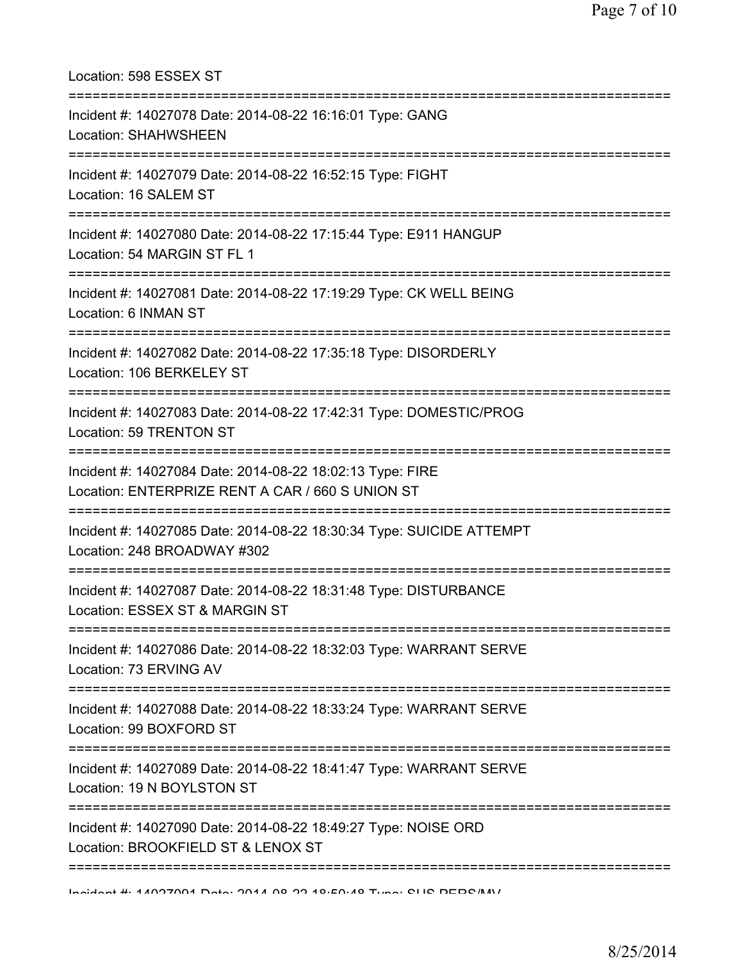| Location: 598 ESSEX ST<br>=====================================                                                                                      |
|------------------------------------------------------------------------------------------------------------------------------------------------------|
| Incident #: 14027078 Date: 2014-08-22 16:16:01 Type: GANG<br>Location: SHAHWSHEEN<br>========================                                        |
| Incident #: 14027079 Date: 2014-08-22 16:52:15 Type: FIGHT<br>Location: 16 SALEM ST                                                                  |
| Incident #: 14027080 Date: 2014-08-22 17:15:44 Type: E911 HANGUP<br>Location: 54 MARGIN ST FL 1                                                      |
| Incident #: 14027081 Date: 2014-08-22 17:19:29 Type: CK WELL BEING<br>Location: 6 INMAN ST                                                           |
| Incident #: 14027082 Date: 2014-08-22 17:35:18 Type: DISORDERLY<br>Location: 106 BERKELEY ST                                                         |
| Incident #: 14027083 Date: 2014-08-22 17:42:31 Type: DOMESTIC/PROG<br>Location: 59 TRENTON ST                                                        |
| Incident #: 14027084 Date: 2014-08-22 18:02:13 Type: FIRE<br>Location: ENTERPRIZE RENT A CAR / 660 S UNION ST<br>=================================== |
| Incident #: 14027085 Date: 2014-08-22 18:30:34 Type: SUICIDE ATTEMPT<br>Location: 248 BROADWAY #302                                                  |
| Incident #: 14027087 Date: 2014-08-22 18:31:48 Type: DISTURBANCE<br>Location: ESSEX ST & MARGIN ST                                                   |
| Incident #: 14027086 Date: 2014-08-22 18:32:03 Type: WARRANT SERVE<br>Location: 73 ERVING AV                                                         |
| Incident #: 14027088 Date: 2014-08-22 18:33:24 Type: WARRANT SERVE<br>Location: 99 BOXFORD ST                                                        |
| Incident #: 14027089 Date: 2014-08-22 18:41:47 Type: WARRANT SERVE<br>Location: 19 N BOYLSTON ST                                                     |
| =======================<br>Incident #: 14027090 Date: 2014-08-22 18:49:27 Type: NOISE ORD<br>Location: BROOKFIELD ST & LENOX ST                      |
|                                                                                                                                                      |

Incident #: 14027091 Date: 2014 08 22 18:50:48 Type: SUS PERS/MV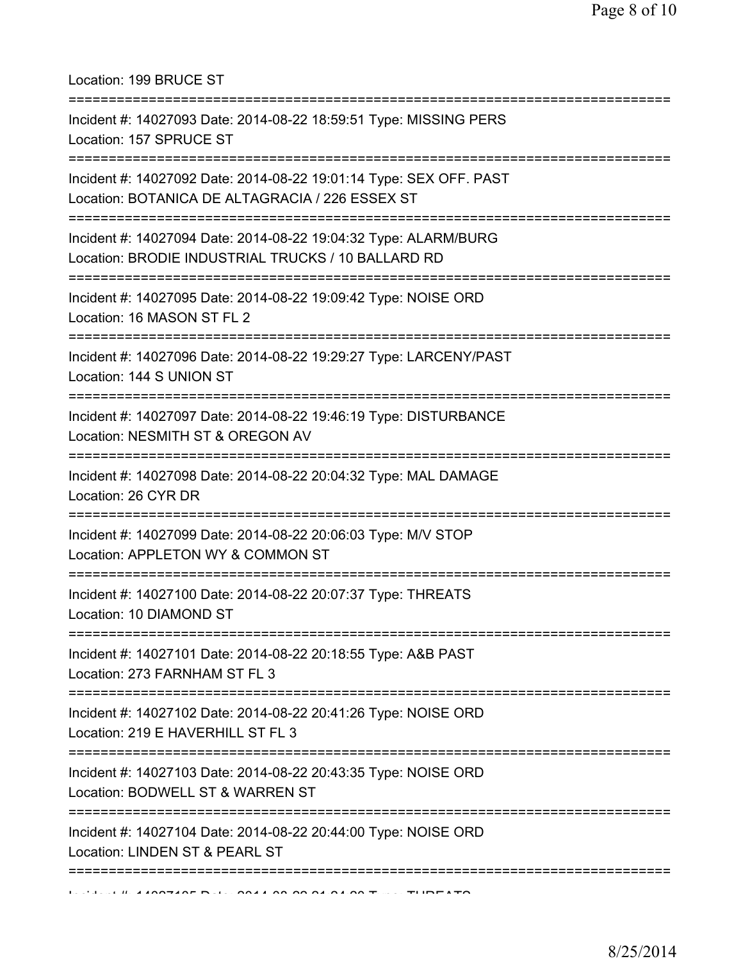Location: 199 BRUCE ST

| Incident #: 14027093 Date: 2014-08-22 18:59:51 Type: MISSING PERS<br>Location: 157 SPRUCE ST                                                 |
|----------------------------------------------------------------------------------------------------------------------------------------------|
| Incident #: 14027092 Date: 2014-08-22 19:01:14 Type: SEX OFF. PAST<br>Location: BOTANICA DE ALTAGRACIA / 226 ESSEX ST                        |
| Incident #: 14027094 Date: 2014-08-22 19:04:32 Type: ALARM/BURG<br>Location: BRODIE INDUSTRIAL TRUCKS / 10 BALLARD RD                        |
| Incident #: 14027095 Date: 2014-08-22 19:09:42 Type: NOISE ORD<br>Location: 16 MASON ST FL 2                                                 |
| Incident #: 14027096 Date: 2014-08-22 19:29:27 Type: LARCENY/PAST<br>Location: 144 S UNION ST<br>-------------------------------             |
| Incident #: 14027097 Date: 2014-08-22 19:46:19 Type: DISTURBANCE<br>Location: NESMITH ST & OREGON AV                                         |
| Incident #: 14027098 Date: 2014-08-22 20:04:32 Type: MAL DAMAGE<br>Location: 26 CYR DR                                                       |
| Incident #: 14027099 Date: 2014-08-22 20:06:03 Type: M/V STOP<br>Location: APPLETON WY & COMMON ST                                           |
| Incident #: 14027100 Date: 2014-08-22 20:07:37 Type: THREATS<br>Location: 10 DIAMOND ST                                                      |
| Incident #: 14027101 Date: 2014-08-22 20:18:55 Type: A&B PAST<br>Location: 273 FARNHAM ST FL 3                                               |
| :====================================<br>Incident #: 14027102 Date: 2014-08-22 20:41:26 Type: NOISE ORD<br>Location: 219 E HAVERHILL ST FL 3 |
| Incident #: 14027103 Date: 2014-08-22 20:43:35 Type: NOISE ORD<br>Location: BODWELL ST & WARREN ST                                           |
| Incident #: 14027104 Date: 2014-08-22 20:44:00 Type: NOISE ORD<br>Location: LINDEN ST & PEARL ST                                             |
|                                                                                                                                              |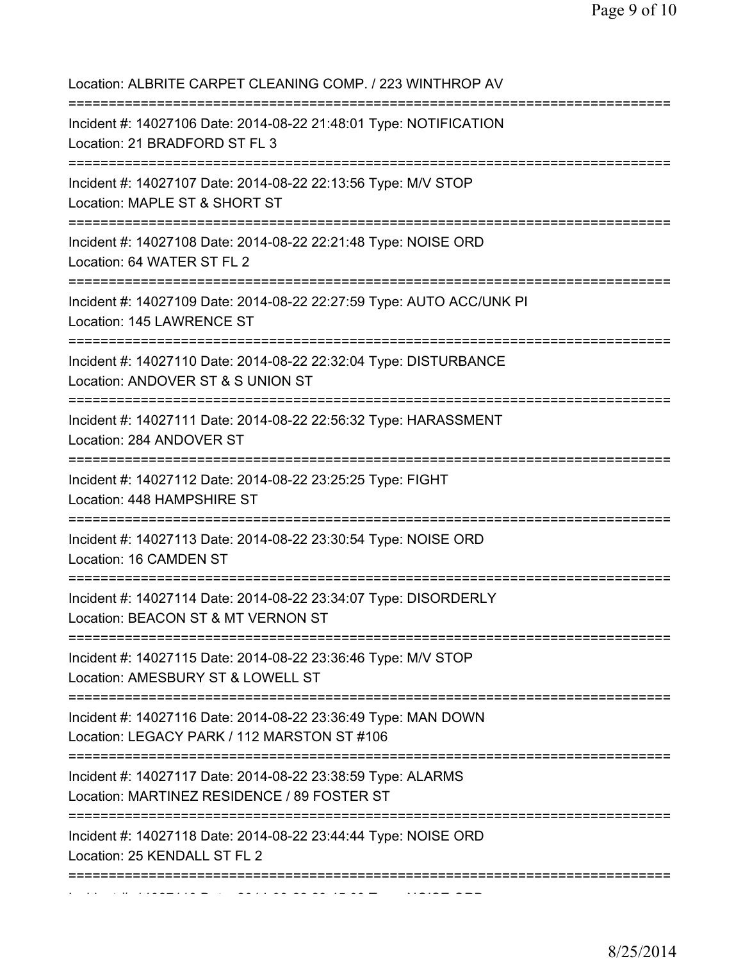| Location: ALBRITE CARPET CLEANING COMP. / 223 WINTHROP AV                                                                                  |
|--------------------------------------------------------------------------------------------------------------------------------------------|
| Incident #: 14027106 Date: 2014-08-22 21:48:01 Type: NOTIFICATION<br>Location: 21 BRADFORD ST FL 3<br>;================<br>=============== |
| Incident #: 14027107 Date: 2014-08-22 22:13:56 Type: M/V STOP<br>Location: MAPLE ST & SHORT ST                                             |
| Incident #: 14027108 Date: 2014-08-22 22:21:48 Type: NOISE ORD<br>Location: 64 WATER ST FL 2                                               |
| Incident #: 14027109 Date: 2014-08-22 22:27:59 Type: AUTO ACC/UNK PI<br>Location: 145 LAWRENCE ST                                          |
| Incident #: 14027110 Date: 2014-08-22 22:32:04 Type: DISTURBANCE<br>Location: ANDOVER ST & S UNION ST<br>==========================        |
| Incident #: 14027111 Date: 2014-08-22 22:56:32 Type: HARASSMENT<br>Location: 284 ANDOVER ST                                                |
| Incident #: 14027112 Date: 2014-08-22 23:25:25 Type: FIGHT<br>Location: 448 HAMPSHIRE ST                                                   |
| ==============================<br>Incident #: 14027113 Date: 2014-08-22 23:30:54 Type: NOISE ORD<br>Location: 16 CAMDEN ST                 |
| Incident #: 14027114 Date: 2014-08-22 23:34:07 Type: DISORDERLY<br>Location: BEACON ST & MT VERNON ST                                      |
| Incident #: 14027115 Date: 2014-08-22 23:36:46 Type: M/V STOP<br>Location: AMESBURY ST & LOWELL ST                                         |
| Incident #: 14027116 Date: 2014-08-22 23:36:49 Type: MAN DOWN<br>Location: LEGACY PARK / 112 MARSTON ST #106                               |
| Incident #: 14027117 Date: 2014-08-22 23:38:59 Type: ALARMS<br>Location: MARTINEZ RESIDENCE / 89 FOSTER ST                                 |
| Incident #: 14027118 Date: 2014-08-22 23:44:44 Type: NOISE ORD<br>Location: 25 KENDALL ST FL 2                                             |
|                                                                                                                                            |